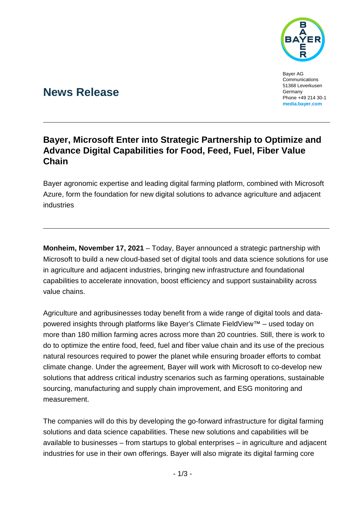

Bayer AG Communications 51368 Leverkusen Germany Phone +49 214 30-1 **[media.bayer.com](http://media.bayer.com/)**

# **News Release**

## **Bayer, Microsoft Enter into Strategic Partnership to Optimize and Advance Digital Capabilities for Food, Feed, Fuel, Fiber Value Chain**

Bayer agronomic expertise and leading digital farming platform, combined with Microsoft Azure, form the foundation for new digital solutions to advance agriculture and adjacent industries

**Monheim, November 17, 2021** – Today, Bayer announced a strategic partnership with Microsoft to build a new cloud-based set of digital tools and data science solutions for use in agriculture and adjacent industries, bringing new infrastructure and foundational capabilities to accelerate innovation, boost efficiency and support sustainability across value chains.

Agriculture and agribusinesses today benefit from a wide range of digital tools and datapowered insights through platforms like Bayer's Climate FieldView™ – used today on more than 180 million farming acres across more than 20 countries. Still, there is work to do to optimize the entire food, feed, fuel and fiber value chain and its use of the precious natural resources required to power the planet while ensuring broader efforts to combat climate change. Under the agreement, Bayer will work with Microsoft to co-develop new solutions that address critical industry scenarios such as farming operations, sustainable sourcing, manufacturing and supply chain improvement, and ESG monitoring and measurement.

The companies will do this by developing the go-forward infrastructure for digital farming solutions and data science capabilities. These new solutions and capabilities will be available to businesses – from startups to global enterprises – in agriculture and adjacent industries for use in their own offerings. Bayer will also migrate its digital farming core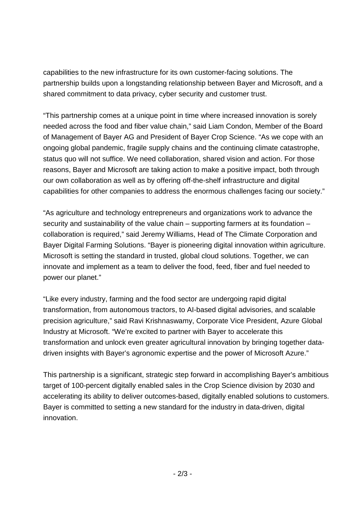capabilities to the new infrastructure for its own customer-facing solutions. The partnership builds upon a longstanding relationship between Bayer and Microsoft, and a shared commitment to data privacy, cyber security and customer trust.

"This partnership comes at a unique point in time where increased innovation is sorely needed across the food and fiber value chain," said Liam Condon, Member of the Board of Management of Bayer AG and President of Bayer Crop Science. "As we cope with an ongoing global pandemic, fragile supply chains and the continuing climate catastrophe, status quo will not suffice. We need collaboration, shared vision and action. For those reasons, Bayer and Microsoft are taking action to make a positive impact, both through our own collaboration as well as by offering off-the-shelf infrastructure and digital capabilities for other companies to address the enormous challenges facing our society."

"As agriculture and technology entrepreneurs and organizations work to advance the security and sustainability of the value chain – supporting farmers at its foundation – collaboration is required," said Jeremy Williams, Head of The Climate Corporation and Bayer Digital Farming Solutions. "Bayer is pioneering digital innovation within agriculture. Microsoft is setting the standard in trusted, global cloud solutions. Together, we can innovate and implement as a team to deliver the food, feed, fiber and fuel needed to power our planet."

"Like every industry, farming and the food sector are undergoing rapid digital transformation, from autonomous tractors, to AI-based digital advisories, and scalable precision agriculture," said Ravi Krishnaswamy, Corporate Vice President, Azure Global Industry at Microsoft. "We're excited to partner with Bayer to accelerate this transformation and unlock even greater agricultural innovation by bringing together datadriven insights with Bayer's agronomic expertise and the power of Microsoft Azure."

This partnership is a significant, strategic step forward in accomplishing Bayer's ambitious target of 100-percent digitally enabled sales in the Crop Science division by 2030 and accelerating its ability to deliver outcomes-based, digitally enabled solutions to customers. Bayer is committed to setting a new standard for the industry in data-driven, digital innovation.